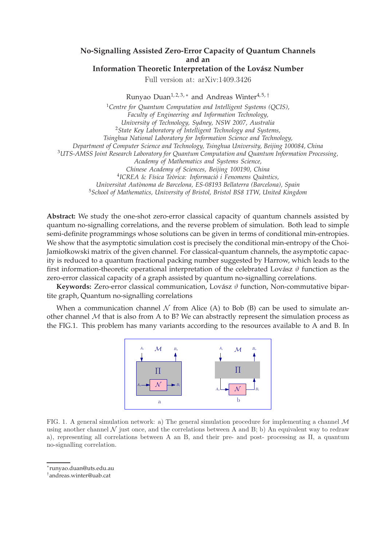## **No-Signalling Assisted Zero-Error Capacity of Quantum Channels and an**

## **Information Theoretic Interpretation of the Lovász Number**

Full version at: arXiv:1409.3426

Runyao Duan<sup>1, 2, 3, \*</sup> and Andreas Winter<sup>4, 5, †</sup>

<sup>1</sup>*Centre for Quantum Computation and Intelligent Systems (QCIS), Faculty of Engineering and Information Technology, University of Technology, Sydney, NSW 2007, Australia* <sup>2</sup>*State Key Laboratory of Intelligent Technology and Systems, Tsinghua National Laboratory for Information Science and Technology, Department of Computer Science and Technology, Tsinghua University, Beijing 100084, China* <sup>3</sup>*UTS-AMSS Joint Research Laboratory for Quantum Computation and Quantum Information Processing, Academy of Mathematics and Systems Science, Chinese Academy of Sciences, Beijing 100190, China* <sup>4</sup>ICREA & Física Teòrica: Informació i Fenomens Quàntics, *Universitat Aut`onoma de Barcelona, ES-08193 Bellaterra (Barcelona), Spain* <sup>5</sup>*School of Mathematics, University of Bristol, Bristol BS8 1TW, United Kingdom*

**Abstract:** We study the one-shot zero-error classical capacity of quantum channels assisted by quantum no-signalling correlations, and the reverse problem of simulation. Both lead to simple semi-definite programmings whose solutions can be given in terms of conditional min-entropies. We show that the asymptotic simulation cost is precisely the conditional min-entropy of the Choi-Jamiołkowski matrix of the given channel. For classical-quantum channels, the asymptotic capacity is reduced to a quantum fractional packing number suggested by Harrow, which leads to the first information-theoretic operational interpretation of the celebrated Lovász  $\vartheta$  function as the zero-error classical capacity of a graph assisted by quantum no-signalling correlations.

**Keywords:** Zero-error classical communication, Lovász  $\vartheta$  function, Non-commutative bipartite graph, Quantum no-signalling correlations

When a communication channel  $\mathcal N$  from Alice (A) to Bob (B) can be used to simulate another channel  $M$  that is also from A to B? We can abstractly represent the simulation process as the FIG.1. This problem has many variants according to the resources available to A and B. In



FIG. 1. A general simulation network: a) The general simulation procedure for implementing a channel  $\mathcal M$ using another channel  $\mathcal N$  just once, and the correlations between A and B; b) An equivalent way to redraw a), representing all correlations between A an B, and their pre- and post- processing as Π, a quantum no-signalling correlation.

<sup>∗</sup> runyao.duan@uts.edu.au

<sup>†</sup> andreas.winter@uab.cat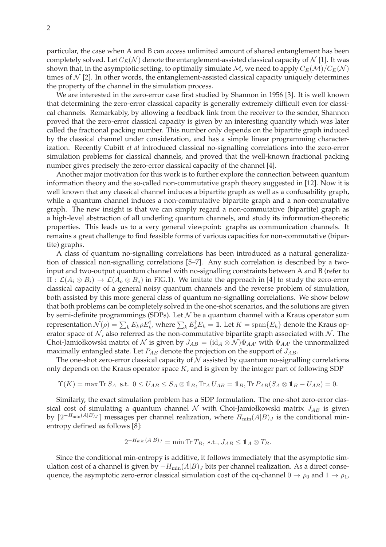particular, the case when A and B can access unlimited amount of shared entanglement has been completely solved. Let  $C_E(\mathcal{N})$  denote the entanglement-assisted classical capacity of  $\mathcal{N}$  [1]. It was shown that, in the asymptotic setting, to optimally simulate M, we need to apply  $C_E(\mathcal{M})/C_E(\mathcal{N})$ times of  $N$  [2]. In other words, the entanglement-assisted classical capacity uniquely determines the property of the channel in the simulation process.

We are interested in the zero-error case first studied by Shannon in 1956 [3]. It is well known that determining the zero-error classical capacity is generally extremely difficult even for classical channels. Remarkably, by allowing a feedback link from the receiver to the sender, Shannon proved that the zero-error classical capacity is given by an interesting quantity which was later called the fractional packing number. This number only depends on the bipartite graph induced by the classical channel under consideration, and has a simple linear programming characterization. Recently Cubitt *et al* introduced classical no-signalling correlations into the zero-error simulation problems for classical channels, and proved that the well-known fractional packing number gives precisely the zero-error classical capacity of the channel [4].

Another major motivation for this work is to further explore the connection between quantum information theory and the so-called non-commutative graph theory suggested in [12]. Now it is well known that any classical channel induces a bipartite graph as well as a confusability graph, while a quantum channel induces a non-commutative bipartite graph and a non-commutative graph. The new insight is that we can simply regard a non-commutative (bipartite) graph as a high-level abstraction of all underling quantum channels, and study its information-theoretic properties. This leads us to a very general viewpoint: graphs as communication channels. It remains a great challenge to find feasible forms of various capacities for non-commutative (bipartite) graphs.

A class of quantum no-signalling correlations has been introduced as a natural generalization of classical non-signalling correlations [5–7]. Any such correlation is described by a twoinput and two-output quantum channel with no-signalling constraints between A and B (refer to  $\Pi : \mathcal{L}(A_i \otimes B_i) \to \mathcal{L}(A_o \otimes B_o)$  in FIG.1). We imitate the approach in [4] to study the zero-error classical capacity of a general noisy quantum channels and the reverse problem of simulation, both assisted by this more general class of quantum no-signalling correlations. We show below that both problems can be completely solved in the one-shot scenarios, and the solutions are given by semi-definite programmings (SDPs). Let  $N$  be a quantum channel with a Kraus operator sum representation  $\mathcal{N}(\rho)=\sum_k E_k \rho E_k^\dagger$ , where  $\sum_k E_k^\dagger E_k=1\!\!1$ . Let  $K=\mathrm{span}\{E_k\}$  denote the Kraus operator space of  $N$ , also referred as the non-commutative bipartite graph associated with  $N$ . The Choi-Jamiołkowski matrix of N is given by  $J_{AB} = (\mathrm{id}_A \otimes \mathcal{N}) \Phi_{AA'}$  with  $\Phi_{AA'}$  the unnormalized maximally entangled state. Let  $P_{AB}$  denote the projection on the support of  $J_{AB}$ .

The one-shot zero-error classical capacity of  $\mathcal N$  assisted by quantum no-signalling correlations only depends on the Kraus operator space  $K$ , and is given by the integer part of following SDP

$$
\Upsilon(K) = \max \operatorname{Tr} S_A \text{ s.t. } 0 \le U_{AB} \le S_A \otimes \mathbb{1}_B, \operatorname{Tr} A U_{AB} = \mathbb{1}_B, \operatorname{Tr} P_{AB} (S_A \otimes \mathbb{1}_B - U_{AB}) = 0.
$$

Similarly, the exact simulation problem has a SDP formulation. The one-shot zero-error classical cost of simulating a quantum channel N with Choi-Jamiołkowski matrix  $J_{AB}$  is given by  $\lceil 2^{-H_{\min}(A|B)_{J}}\rceil$  messages per channel realization, where  $H_{\min}(A|B)_{J}$  is the conditional minentropy defined as follows [8]:

$$
2^{-H_{\min}(A|B)J} = \min \text{Tr} T_B, \text{ s.t., } J_{AB} \leq \mathbb{1}_A \otimes T_B.
$$

Since the conditional min-entropy is additive, it follows immediately that the asymptotic simulation cost of a channel is given by  $-H_{min}(A|B)$  bits per channel realization. As a direct consequence, the asymptotic zero-error classical simulation cost of the cq-channel  $0 \to \rho_0$  and  $1 \to \rho_1$ ,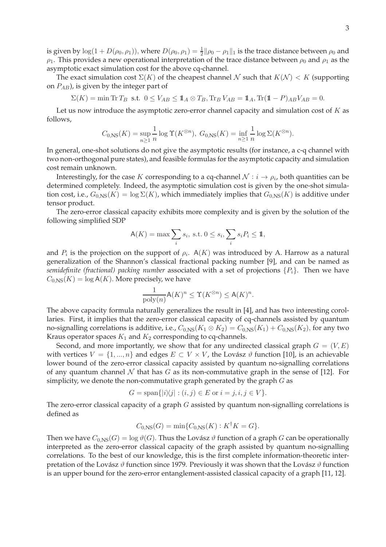is given by  $\log(1+D(\rho_0,\rho_1))$ , where  $D(\rho_0,\rho_1)=\frac{1}{2}||\rho_0-\rho_1||_1$  is the trace distance between  $\rho_0$  and  $\rho_1$ . This provides a new operational interpretation of the trace distance between  $\rho_0$  and  $\rho_1$  as the asymptotic exact simulation cost for the above cq-channel.

The exact simulation cost  $\Sigma(K)$  of the cheapest channel N such that  $K(\mathcal{N}) < K$  (supporting on  $P_{AB}$ ), is given by the integer part of

 $\Sigma(K) = \min \text{Tr } T_B$  s.t.  $0 \leq V_{AB} \leq \mathbf{1}_A \otimes T_B$ ,  $\text{Tr}_B V_{AB} = \mathbf{1}_A$ ,  $\text{Tr}(\mathbf{1} - P)_{AB} V_{AB} = 0$ .

Let us now introduce the asymptotic zero-error channel capacity and simulation cost of  $K$  as follows,

$$
C_{0,\text{NS}}(K) = \sup_{n\geq 1} \frac{1}{n} \log \Upsilon(K^{\otimes n}), \ G_{0,\text{NS}}(K) = \inf_{n\geq 1} \frac{1}{n} \log \Sigma(K^{\otimes n}).
$$

In general, one-shot solutions do not give the asymptotic results (for instance, a c-q channel with two non-orthogonal pure states), and feasible formulas for the asymptotic capacity and simulation cost remain unknown.

Interestingly, for the case  $K$  corresponding to a cq-channel  $\mathcal{N}:i\rightarrow \rho_i$ , both quantities can be determined completely. Indeed, the asymptotic simulation cost is given by the one-shot simulation cost, i.e.,  $G_{0,NS}(K) = \log \Sigma(K)$ , which immediately implies that  $G_{0,NS}(K)$  is additive under tensor product.

The zero-error classical capacity exhibits more complexity and is given by the solution of the following simplified SDP

$$
\mathsf{A}(K) = \max \sum_{i} s_i, \text{ s.t. } 0 \le s_i, \sum_{i} s_i P_i \le \mathbb{1},
$$

and  $P_i$  is the projection on the support of  $\rho_i$ . A(K) was introduced by A. Harrow as a natural generalization of the Shannon's classical fractional packing number [9], and can be named as *semidefinite (fractional) packing number* associated with a set of projections  $\{P_i\}$ . Then we have  $C_{0,NS}(K) = \log A(K)$ . More precisely, we have

$$
\frac{1}{\text{poly}(n)}\mathsf{A}(K)^n \le \Upsilon(K^{\otimes n}) \le \mathsf{A}(K)^n.
$$

The above capacity formula naturally generalizes the result in [4], and has two interesting corollaries. First, it implies that the zero-error classical capacity of cq-channels assisted by quantum no-signalling correlations is additive, i.e.,  $C_{0,NS}(K_1 \otimes K_2) = C_{0,NS}(K_1) + C_{0,NS}(K_2)$ , for any two Kraus operator spaces  $K_1$  and  $K_2$  corresponding to cq-channels.

Second, and more importantly, we show that for any undirected classical graph  $G = (V, E)$ with vertices  $V = \{1, ..., n\}$  and edges  $E \subset V \times V$ , the Lovász  $\vartheta$  function [10], is an achievable lower bound of the zero-error classical capacity assisted by quantum no-signalling correlations of any quantum channel N that has G as its non-commutative graph in the sense of [12]. For simplicity, we denote the non-commutative graph generated by the graph  $G$  as

$$
G = \text{span}\{|i\rangle\langle j| : (i,j) \in E \text{ or } i = j, i, j \in V\}.
$$

The zero-error classical capacity of a graph  $G$  assisted by quantum non-signalling correlations is defined as

$$
C_{0,\text{NS}}(G) = \min\{C_{0,\text{NS}}(K) : K^{\dagger}K = G\}.
$$

Then we have  $C_{0,NS}(G) = \log \vartheta(G)$ . Thus the Lovász  $\vartheta$  function of a graph G can be operationally interpreted as the zero-error classical capacity of the graph assisted by quantum no-signalling correlations. To the best of our knowledge, this is the first complete information-theoretic interpretation of the Lovász  $\vartheta$  function since 1979. Previously it was shown that the Lovász  $\vartheta$  function is an upper bound for the zero-error entanglement-assisted classical capacity of a graph [11, 12].